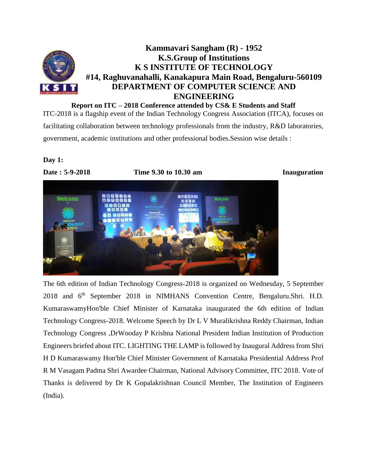

**Report on ITC – 2018 Conference attended by CS& E Students and Staff** ITC-2018 is a flagship event of the Indian Technology Congress Association (ITCA), focuses on facilitating collaboration between technology professionals from the industry, R&D laboratories,

government, academic institutions and other professional bodies.Session wise details :

# **Day 1:**



The 6th edition of Indian Technology Congress-2018 is organized on Wednesday, 5 September 2018 and 6th September 2018 in NIMHANS Convention Centre, Bengaluru.Shri. H.D. KumaraswamyHon'ble Chief Minister of Karnataka inaugurated the 6th edition of Indian Technology Congress-2018. Welcome Speech by Dr L V Muralikrishna Reddy Chairman, Indian Technology Congress ,DrWooday P Krishna National President Indian Institution of Production Engineers briefed about ITC. LIGHTING THE LAMP is followed by Inaugural Address from Shri H D Kumaraswamy Hon'ble Chief Minister Government of Karnataka Presidential Address Prof R M Vasagam Padma Shri Awardee Chairman, National Advisory Committee, ITC 2018. Vote of Thanks is delivered by Dr K Gopalakrishnan Council Member, The Institution of Engineers (India).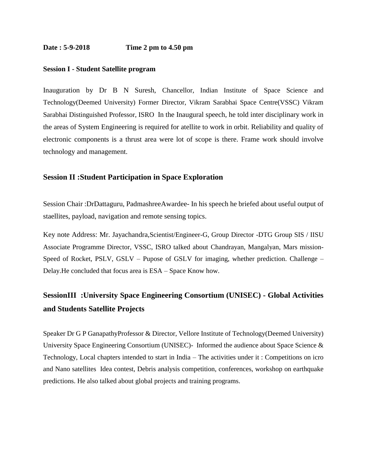#### **Date : 5-9-2018 Time 2 pm to 4.50 pm**

#### **Session I - Student Satellite program**

Inauguration by Dr B N Suresh, Chancellor, Indian Institute of Space Science and Technology(Deemed University) Former Director, Vikram Sarabhai Space Centre(VSSC) Vikram Sarabhai Distinguished Professor, ISRO In the Inaugural speech, he told inter disciplinary work in the areas of System Engineering is required for atellite to work in orbit. Reliability and quality of electronic components is a thrust area were lot of scope is there. Frame work should involve technology and management.

## **Session II :Student Participation in Space Exploration**

Session Chair :DrDattaguru, PadmashreeAwardee- In his speech he briefed about useful output of staellites, payload, navigation and remote sensing topics.

Key note Address: Mr. Jayachandra,Scientist/Engineer-G, Group Director -DTG Group SIS / IISU Associate Programme Director, VSSC, ISRO talked about Chandrayan, Mangalyan, Mars mission-Speed of Rocket, PSLV, GSLV – Pupose of GSLV for imaging, whether prediction. Challenge – Delay.He concluded that focus area is ESA – Space Know how.

# **SessionIII :University Space Engineering Consortium (UNISEC) - Global Activities and Students Satellite Projects**

Speaker Dr G P GanapathyProfessor & Director, Vellore Institute of Technology(Deemed University) University Space Engineering Consortium (UNISEC)- Informed the audience about Space Science & Technology, Local chapters intended to start in India – The activities under it : Competitions on icro and Nano satellites Idea contest, Debris analysis competition, conferences, workshop on earthquake predictions. He also talked about global projects and training programs.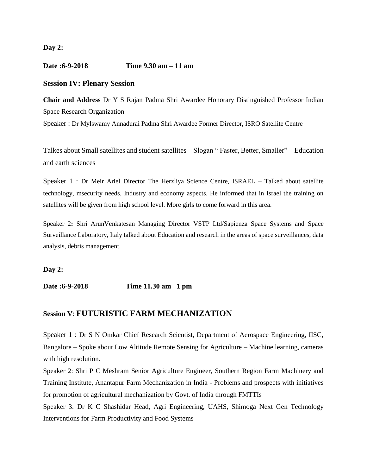**Day 2:** 

**Date :6-9-2018 Time 9.30 am – 11 am**

## **Session IV: Plenary Session**

**Chair and Address** Dr Y S Rajan Padma Shri Awardee Honorary Distinguished Professor Indian Space Research Organization

Speaker : Dr Mylswamy Annadurai Padma Shri Awardee Former Director, ISRO Satellite Centre

Talkes about Small satellites and student satellites – Slogan " Faster, Better, Smaller" – Education and earth sciences

Speaker 1 : Dr Meir Ariel Director The Herzliya Science Centre, ISRAEL – Talked about satellite technology, msecurity needs, Industry and economy aspects. He informed that in Israel the training on satellites will be given from high school level. More girls to come forward in this area.

Speaker 2**:** Shri ArunVenkatesan Managing Director VSTP Ltd/Sapienza Space Systems and Space Surveillance Laboratory, Italy talked about Education and research in the areas of space surveillances, data analysis, debris management.

**Day 2:** 

**Date :6-9-2018 Time 11.30 am 1 pm**

# **Session V**: **FUTURISTIC FARM MECHANIZATION**

Speaker 1 : Dr S N Omkar Chief Research Scientist, Department of Aerospace Engineering, IISC, Bangalore – Spoke about Low Altitude Remote Sensing for Agriculture – Machine learning, cameras with high resolution.

Speaker 2: Shri P C Meshram Senior Agriculture Engineer, Southern Region Farm Machinery and Training Institute, Anantapur Farm Mechanization in India - Problems and prospects with initiatives for promotion of agricultural mechanization by Govt. of India through FMTTIs

Speaker 3: Dr K C Shashidar Head, Agri Engineering, UAHS, Shimoga Next Gen Technology Interventions for Farm Productivity and Food Systems